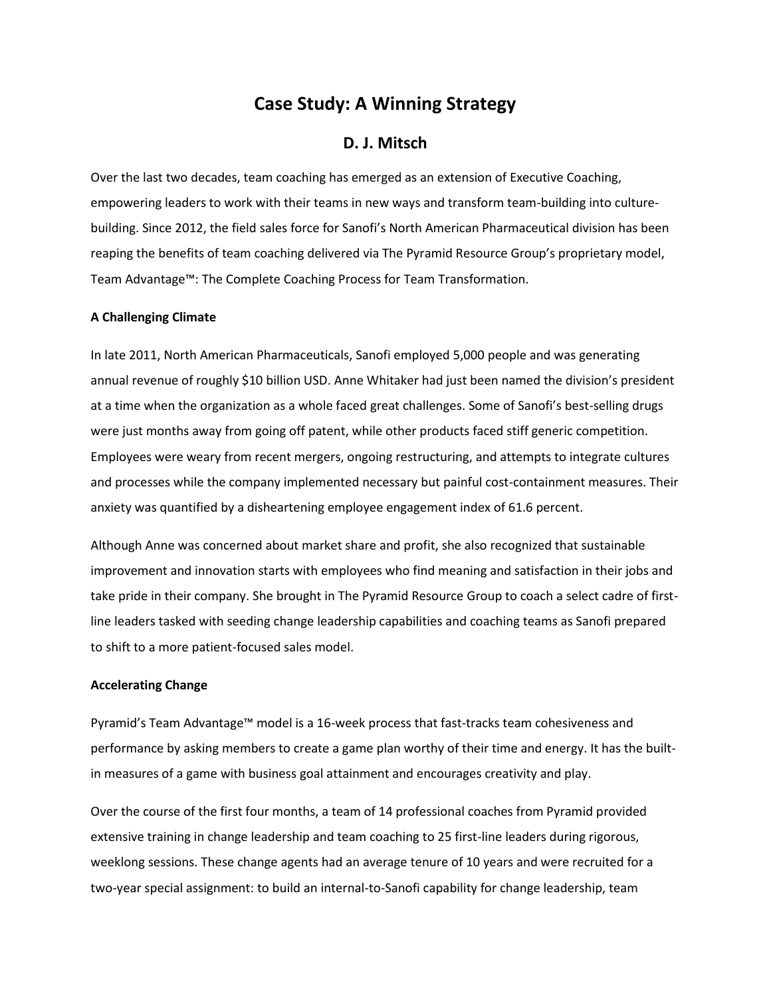# **Case Study: A Winning Strategy**

## **D. J. Mitsch**

Over the last two decades, team coaching has emerged as an extension of Executive Coaching, empowering leaders to work with their teams in new ways and transform team-building into culturebuilding. Since 2012, the field sales force for Sanofi's North American Pharmaceutical division has been reaping the benefits of team coaching delivered via The Pyramid Resource Group's proprietary model, Team Advantage™: The Complete Coaching Process for Team Transformation.

#### **A Challenging Climate**

In late 2011, North American Pharmaceuticals, Sanofi employed 5,000 people and was generating annual revenue of roughly \$10 billion USD. Anne Whitaker had just been named the division's president at a time when the organization as a whole faced great challenges. Some of Sanofi's best-selling drugs were just months away from going off patent, while other products faced stiff generic competition. Employees were weary from recent mergers, ongoing restructuring, and attempts to integrate cultures and processes while the company implemented necessary but painful cost-containment measures. Their anxiety was quantified by a disheartening employee engagement index of 61.6 percent.

Although Anne was concerned about market share and profit, she also recognized that sustainable improvement and innovation starts with employees who find meaning and satisfaction in their jobs and take pride in their company. She brought in The Pyramid Resource Group to coach a select cadre of firstline leaders tasked with seeding change leadership capabilities and coaching teams as Sanofi prepared to shift to a more patient-focused sales model.

### **Accelerating Change**

Pyramid's Team Advantage™ model is a 16-week process that fast-tracks team cohesiveness and performance by asking members to create a game plan worthy of their time and energy. It has the builtin measures of a game with business goal attainment and encourages creativity and play.

Over the course of the first four months, a team of 14 professional coaches from Pyramid provided extensive training in change leadership and team coaching to 25 first-line leaders during rigorous, weeklong sessions. These change agents had an average tenure of 10 years and were recruited for a two-year special assignment: to build an internal-to-Sanofi capability for change leadership, team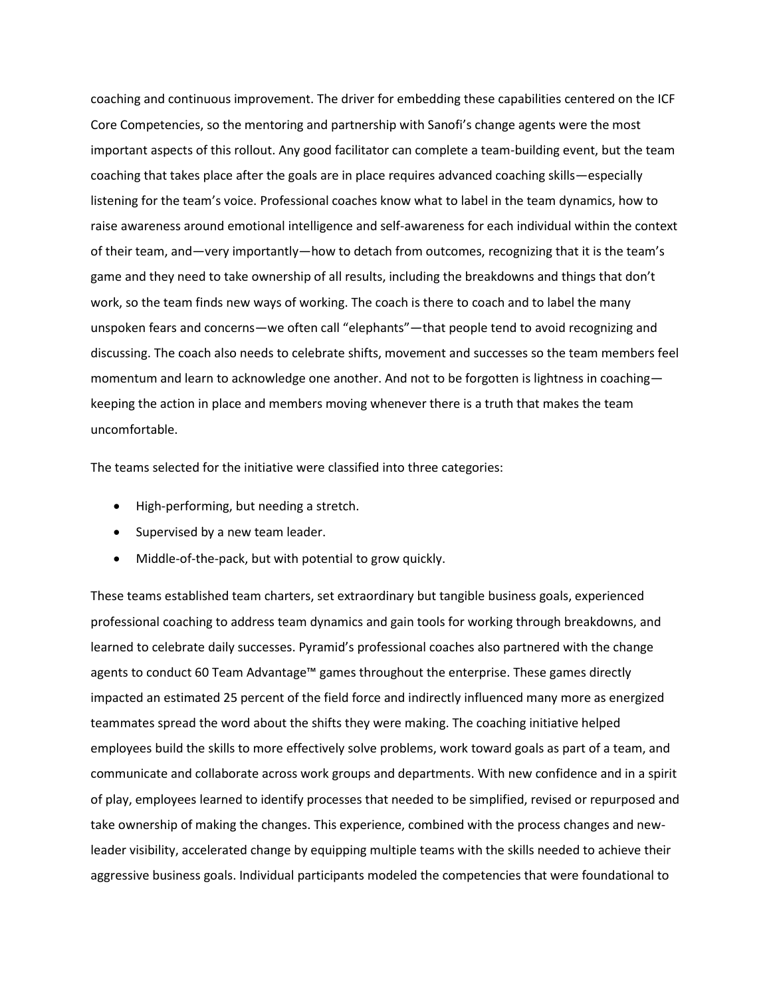coaching and continuous improvement. The driver for embedding these capabilities centered on the ICF Core Competencies, so the mentoring and partnership with Sanofi's change agents were the most important aspects of this rollout. Any good facilitator can complete a team-building event, but the team coaching that takes place after the goals are in place requires advanced coaching skills—especially listening for the team's voice. Professional coaches know what to label in the team dynamics, how to raise awareness around emotional intelligence and self-awareness for each individual within the context of their team, and—very importantly—how to detach from outcomes, recognizing that it is the team's game and they need to take ownership of all results, including the breakdowns and things that don't work, so the team finds new ways of working. The coach is there to coach and to label the many unspoken fears and concerns—we often call "elephants"—that people tend to avoid recognizing and discussing. The coach also needs to celebrate shifts, movement and successes so the team members feel momentum and learn to acknowledge one another. And not to be forgotten is lightness in coaching keeping the action in place and members moving whenever there is a truth that makes the team uncomfortable.

The teams selected for the initiative were classified into three categories:

- High-performing, but needing a stretch.
- Supervised by a new team leader.
- Middle-of-the-pack, but with potential to grow quickly.

These teams established team charters, set extraordinary but tangible business goals, experienced professional coaching to address team dynamics and gain tools for working through breakdowns, and learned to celebrate daily successes. Pyramid's professional coaches also partnered with the change agents to conduct 60 Team Advantage™ games throughout the enterprise. These games directly impacted an estimated 25 percent of the field force and indirectly influenced many more as energized teammates spread the word about the shifts they were making. The coaching initiative helped employees build the skills to more effectively solve problems, work toward goals as part of a team, and communicate and collaborate across work groups and departments. With new confidence and in a spirit of play, employees learned to identify processes that needed to be simplified, revised or repurposed and take ownership of making the changes. This experience, combined with the process changes and newleader visibility, accelerated change by equipping multiple teams with the skills needed to achieve their aggressive business goals. Individual participants modeled the competencies that were foundational to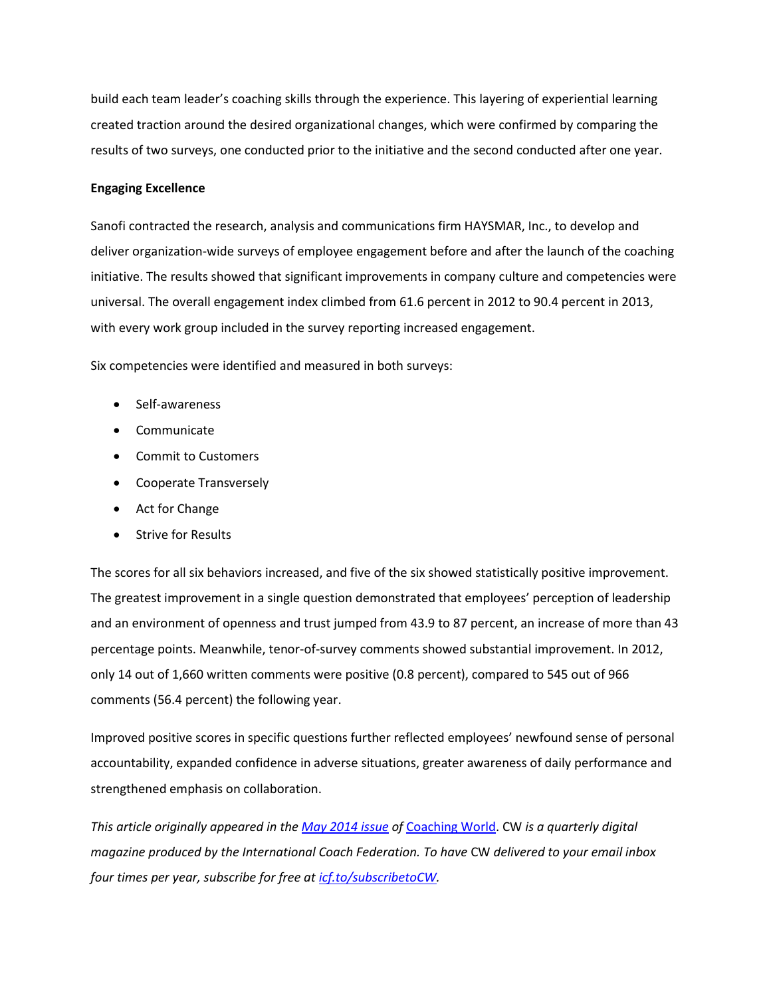build each team leader's coaching skills through the experience. This layering of experiential learning created traction around the desired organizational changes, which were confirmed by comparing the results of two surveys, one conducted prior to the initiative and the second conducted after one year.

#### **Engaging Excellence**

Sanofi contracted the research, analysis and communications firm HAYSMAR, Inc., to develop and deliver organization-wide surveys of employee engagement before and after the launch of the coaching initiative. The results showed that significant improvements in company culture and competencies were universal. The overall engagement index climbed from 61.6 percent in 2012 to 90.4 percent in 2013, with every work group included in the survey reporting increased engagement.

Six competencies were identified and measured in both surveys:

- Self-awareness
- Communicate
- Commit to Customers
- Cooperate Transversely
- Act for Change
- Strive for Results

The scores for all six behaviors increased, and five of the six showed statistically positive improvement. The greatest improvement in a single question demonstrated that employees' perception of leadership and an environment of openness and trust jumped from 43.9 to 87 percent, an increase of more than 43 percentage points. Meanwhile, tenor-of-survey comments showed substantial improvement. In 2012, only 14 out of 1,660 written comments were positive (0.8 percent), compared to 545 out of 966 comments (56.4 percent) the following year.

Improved positive scores in specific questions further reflected employees' newfound sense of personal accountability, expanded confidence in adverse situations, greater awareness of daily performance and strengthened emphasis on collaboration.

*This article originally appeared in th[e May 2014 issue](http://www.joomag.com/magazine/coaching-world-issue-10-may-2014/0759764001400786145) of* [Coaching World.](http://icfcoachingworld.com/) CW *is a quarterly digital magazine produced by the International Coach Federation. To have* CW *delivered to your email inbox four times per year, subscribe for free at [icf.to/subscribetoCW.](http://icf.to/subscribetoCW)*